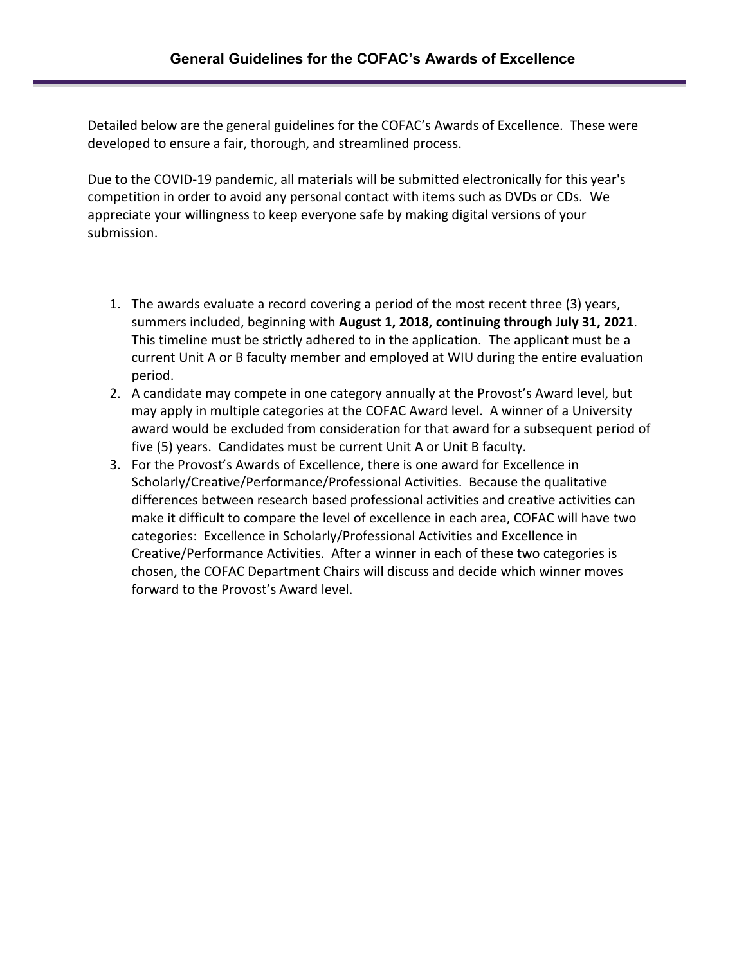Detailed below are the general guidelines for the COFAC's Awards of Excellence. These were developed to ensure a fair, thorough, and streamlined process.

Due to the COVID-19 pandemic, all materials will be submitted electronically for this year's competition in order to avoid any personal contact with items such as DVDs or CDs. We appreciate your willingness to keep everyone safe by making digital versions of your submission.

- 1. The awards evaluate a record covering a period of the most recent three (3) years, summers included, beginning with **August 1, 2018, continuing through July 31, 2021**. This timeline must be strictly adhered to in the application. The applicant must be a current Unit A or B faculty member and employed at WIU during the entire evaluation period.
- 2. A candidate may compete in one category annually at the Provost's Award level, but may apply in multiple categories at the COFAC Award level. A winner of a University award would be excluded from consideration for that award for a subsequent period of five (5) years. Candidates must be current Unit A or Unit B faculty.
- 3. For the Provost's Awards of Excellence, there is one award for Excellence in Scholarly/Creative/Performance/Professional Activities. Because the qualitative differences between research based professional activities and creative activities can make it difficult to compare the level of excellence in each area, COFAC will have two categories: Excellence in Scholarly/Professional Activities and Excellence in Creative/Performance Activities. After a winner in each of these two categories is chosen, the COFAC Department Chairs will discuss and decide which winner moves forward to the Provost's Award level.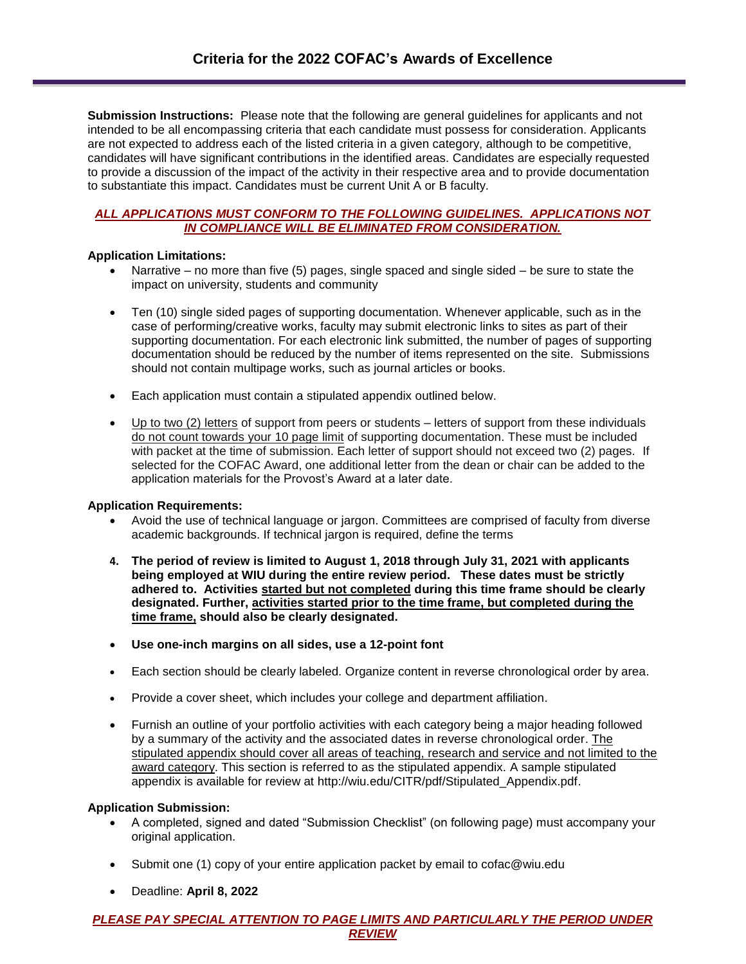**Submission Instructions:** Please note that the following are general guidelines for applicants and not intended to be all encompassing criteria that each candidate must possess for consideration. Applicants are not expected to address each of the listed criteria in a given category, although to be competitive, candidates will have significant contributions in the identified areas. Candidates are especially requested to provide a discussion of the impact of the activity in their respective area and to provide documentation to substantiate this impact. Candidates must be current Unit A or B faculty.

## *ALL APPLICATIONS MUST CONFORM TO THE FOLLOWING GUIDELINES. APPLICATIONS NOT IN COMPLIANCE WILL BE ELIMINATED FROM CONSIDERATION.*

### **Application Limitations:**

- Narrative no more than five (5) pages, single spaced and single sided be sure to state the impact on university, students and community
- Ten (10) single sided pages of supporting documentation. Whenever applicable, such as in the case of performing/creative works, faculty may submit electronic links to sites as part of their supporting documentation. For each electronic link submitted, the number of pages of supporting documentation should be reduced by the number of items represented on the site. Submissions should not contain multipage works, such as journal articles or books.
- Each application must contain a stipulated appendix outlined below.
- Up to two (2) letters of support from peers or students letters of support from these individuals do not count towards your 10 page limit of supporting documentation. These must be included with packet at the time of submission. Each letter of support should not exceed two (2) pages. If selected for the COFAC Award, one additional letter from the dean or chair can be added to the application materials for the Provost's Award at a later date.

#### **Application Requirements:**

- Avoid the use of technical language or jargon. Committees are comprised of faculty from diverse academic backgrounds. If technical jargon is required, define the terms
- **4. The period of review is limited to August 1, 2018 through July 31, 2021 with applicants being employed at WIU during the entire review period. These dates must be strictly adhered to. Activities started but not completed during this time frame should be clearly designated. Further, activities started prior to the time frame, but completed during the time frame, should also be clearly designated.**
- **Use one-inch margins on all sides, use a 12-point font**
- Each section should be clearly labeled. Organize content in reverse chronological order by area.
- Provide a cover sheet, which includes your college and department affiliation.
- Furnish an outline of your portfolio activities with each category being a major heading followed by a summary of the activity and the associated dates in reverse chronological order. The stipulated appendix should cover all areas of teaching, research and service and not limited to the award category. This section is referred to as the stipulated appendix. A sample stipulated appendix is available for review at http://wiu.edu/CITR/pdf/Stipulated\_Appendix.pdf.

#### **Application Submission:**

- A completed, signed and dated "Submission Checklist" (on following page) must accompany your original application.
- Submit one (1) copy of your entire application packet by email to cofac@wiu.edu
- Deadline: **April 8, 2022**